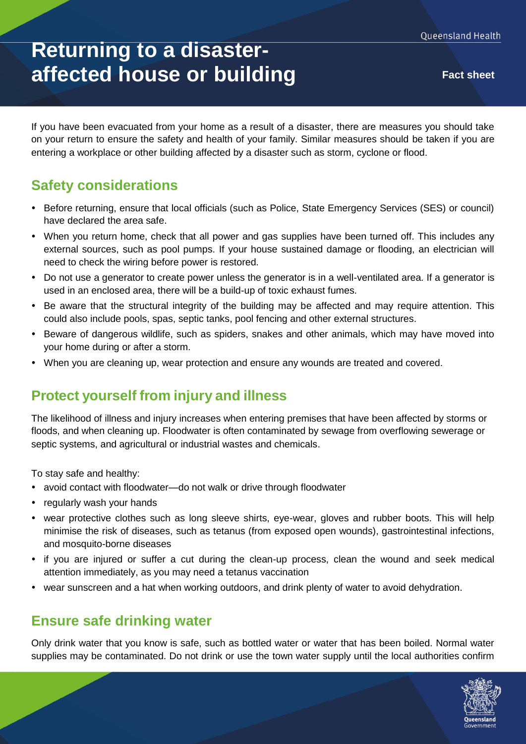# **Returning to a disasteraffected house or building Fact sheet**

If you have been evacuated from your home as a result of a disaster, there are measures you should take on your return to ensure the safety and health of your family. Similar measures should be taken if you are entering a workplace or other building affected by a disaster such as storm, cyclone or flood.

## **Safety considerations**

- Before returning, ensure that local officials (such as Police, State Emergency Services (SES) or council) have declared the area safe.
- When you return home, check that all power and gas supplies have been turned off. This includes any external sources, such as pool pumps. If your house sustained damage or flooding, an electrician will need to check the wiring before power is restored.
- Do not use a generator to create power unless the generator is in a well-ventilated area. If a generator is used in an enclosed area, there will be a build-up of toxic exhaust fumes.
- Be aware that the structural integrity of the building may be affected and may require attention. This could also include pools, spas, septic tanks, pool fencing and other external structures.
- Beware of dangerous wildlife, such as spiders, snakes and other animals, which may have moved into your home during or after a storm.
- When you are cleaning up, wear protection and ensure any wounds are treated and covered.

### **Protect yourself from injury and illness**

The likelihood of illness and injury increases when entering premises that have been affected by storms or floods, and when cleaning up. Floodwater is often contaminated by sewage from overflowing sewerage or septic systems, and agricultural or industrial wastes and chemicals.

To stay safe and healthy:

- avoid contact with floodwater—do not walk or drive through floodwater
- regularly wash your hands
- wear protective clothes such as long sleeve shirts, eye-wear, gloves and rubber boots. This will help minimise the risk of diseases, such as tetanus (from exposed open wounds), gastrointestinal infections, and mosquito-borne diseases
- if you are injured or suffer a cut during the clean-up process, clean the wound and seek medical attention immediately, as you may need a tetanus vaccination
- wear sunscreen and a hat when working outdoors, and drink plenty of water to avoid dehydration.

### **Ensure safe drinking water**

Only drink water that you know is safe, such as bottled water or water that has been boiled. Normal water supplies may be contaminated. Do not drink or use the town water supply until the local authorities confirm

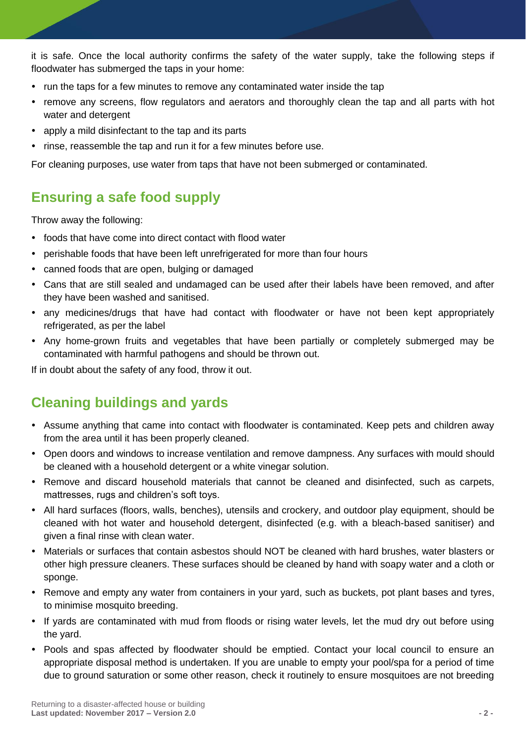it is safe. Once the local authority confirms the safety of the water supply, take the following steps if floodwater has submerged the taps in your home:

- run the taps for a few minutes to remove any contaminated water inside the tap
- remove any screens, flow regulators and aerators and thoroughly clean the tap and all parts with hot water and detergent
- apply a mild disinfectant to the tap and its parts
- rinse, reassemble the tap and run it for a few minutes before use.

For cleaning purposes, use water from taps that have not been submerged or contaminated.

## **Ensuring a safe food supply**

Throw away the following:

- foods that have come into direct contact with flood water
- perishable foods that have been left unrefrigerated for more than four hours
- canned foods that are open, bulging or damaged
- Cans that are still sealed and undamaged can be used after their labels have been removed, and after they have been washed and sanitised.
- any medicines/drugs that have had contact with floodwater or have not been kept appropriately refrigerated, as per the label
- Any home-grown fruits and vegetables that have been partially or completely submerged may be contaminated with harmful pathogens and should be thrown out.

If in doubt about the safety of any food, throw it out.

## **Cleaning buildings and yards**

- Assume anything that came into contact with floodwater is contaminated. Keep pets and children away from the area until it has been properly cleaned.
- Open doors and windows to increase ventilation and remove dampness. Any surfaces with mould should be cleaned with a household detergent or a white vinegar solution.
- Remove and discard household materials that cannot be cleaned and disinfected, such as carpets, mattresses, rugs and children's soft toys.
- All hard surfaces (floors, walls, benches), utensils and crockery, and outdoor play equipment, should be cleaned with hot water and household detergent, disinfected (e.g. with a bleach-based sanitiser) and given a final rinse with clean water.
- Materials or surfaces that contain asbestos should NOT be cleaned with hard brushes, water blasters or other high pressure cleaners. These surfaces should be cleaned by hand with soapy water and a cloth or sponge.
- Remove and empty any water from containers in your yard, such as buckets, pot plant bases and tyres, to minimise mosquito breeding.
- If yards are contaminated with mud from floods or rising water levels, let the mud dry out before using the yard.
- Pools and spas affected by floodwater should be emptied. Contact your local council to ensure an appropriate disposal method is undertaken. If you are unable to empty your pool/spa for a period of time due to ground saturation or some other reason, check it routinely to ensure mosquitoes are not breeding